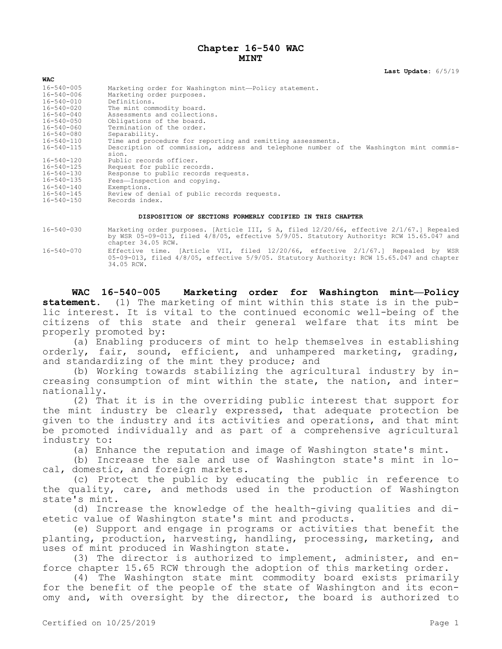**Chapter 16-540 WAC MINT**

**Last Update:** 6/5/19

| <b>WAC</b>       |                                                                                        |
|------------------|----------------------------------------------------------------------------------------|
| 16-540-005       | Marketing order for Washington mint-Policy statement.                                  |
| $16 - 540 - 006$ | Marketing order purposes.                                                              |
| $16 - 540 - 010$ | Definitions.                                                                           |
| $16 - 540 - 020$ | The mint commodity board.                                                              |
| 16-540-040       | Assessments and collections.                                                           |
| $16 - 540 - 050$ | Obligations of the board.                                                              |
| $16 - 540 - 060$ | Termination of the order.                                                              |
| 16-540-080       | Separability.                                                                          |
| $16 - 540 - 110$ | Time and procedure for reporting and remitting assessments.                            |
| $16 - 540 - 115$ | Description of commission, address and telephone number of the Washington mint commis- |
|                  | sion.                                                                                  |
| $16 - 540 - 120$ | Public records officer.                                                                |
| 16-540-125       | Request for public records.                                                            |
| 16-540-130       | Response to public records requests.                                                   |
| 16-540-135       | Fees-Inspection and copying.                                                           |
| $16 - 540 - 140$ | Exemptions.                                                                            |
| 16-540-145       | Review of denial of public records requests.                                           |
| 16-540-150       | Records index.                                                                         |
|                  |                                                                                        |

## **DISPOSITION OF SECTIONS FORMERLY CODIFIED IN THIS CHAPTER**

| 16-540-030 | Marketing order purposes. [Article III, § A, filed 12/20/66, effective 2/1/67.] Repealed                                                                                                    |
|------------|---------------------------------------------------------------------------------------------------------------------------------------------------------------------------------------------|
|            | by WSR 05-09-013, filed 4/8/05, effective 5/9/05. Statutory Authority: RCW 15.65.047 and<br>chapter 34.05 RCW.                                                                              |
| 16-540-070 | Effective time. [Article VII, filed 12/20/66, effective 2/1/67.] Repealed by WSR<br>05-09-013, filed 4/8/05, effective 5/9/05. Statutory Authority: RCW 15.65.047 and chapter<br>34.05 RCW. |

**WAC 16-540-005 Marketing order for Washington mint—Policy statement.** (1) The marketing of mint within this state is in the public interest. It is vital to the continued economic well-being of the citizens of this state and their general welfare that its mint be properly promoted by:

(a) Enabling producers of mint to help themselves in establishing orderly, fair, sound, efficient, and unhampered marketing, grading, and standardizing of the mint they produce; and

(b) Working towards stabilizing the agricultural industry by increasing consumption of mint within the state, the nation, and internationally.

(2) That it is in the overriding public interest that support for the mint industry be clearly expressed, that adequate protection be given to the industry and its activities and operations, and that mint be promoted individually and as part of a comprehensive agricultural industry to:

(a) Enhance the reputation and image of Washington state's mint.

(b) Increase the sale and use of Washington state's mint in local, domestic, and foreign markets.

(c) Protect the public by educating the public in reference to the quality, care, and methods used in the production of Washington state's mint.

(d) Increase the knowledge of the health-giving qualities and dietetic value of Washington state's mint and products.

(e) Support and engage in programs or activities that benefit the planting, production, harvesting, handling, processing, marketing, and uses of mint produced in Washington state.

(3) The director is authorized to implement, administer, and enforce chapter 15.65 RCW through the adoption of this marketing order.

(4) The Washington state mint commodity board exists primarily for the benefit of the people of the state of Washington and its economy and, with oversight by the director, the board is authorized to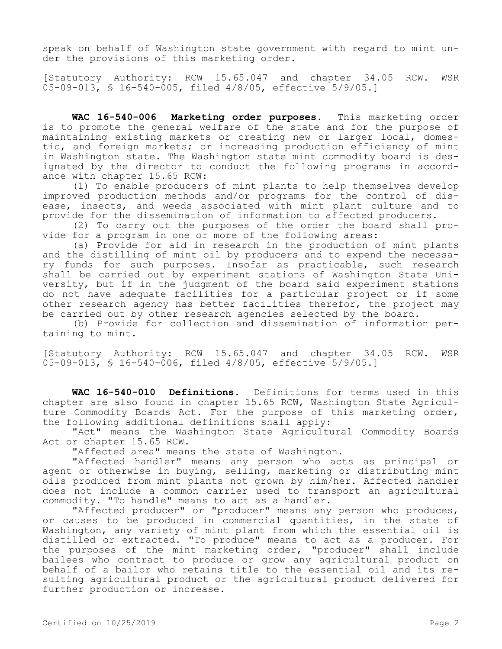speak on behalf of Washington state government with regard to mint under the provisions of this marketing order.

[Statutory Authority: RCW 15.65.047 and chapter 34.05 RCW. WSR 05-09-013, § 16-540-005, filed 4/8/05, effective 5/9/05.]

**WAC 16-540-006 Marketing order purposes.** This marketing order is to promote the general welfare of the state and for the purpose of maintaining existing markets or creating new or larger local, domestic, and foreign markets; or increasing production efficiency of mint in Washington state. The Washington state mint commodity board is designated by the director to conduct the following programs in accordance with chapter 15.65 RCW:

(1) To enable producers of mint plants to help themselves develop improved production methods and/or programs for the control of disease, insects, and weeds associated with mint plant culture and to provide for the dissemination of information to affected producers.

(2) To carry out the purposes of the order the board shall provide for a program in one or more of the following areas:

(a) Provide for aid in research in the production of mint plants and the distilling of mint oil by producers and to expend the necessary funds for such purposes. Insofar as practicable, such research shall be carried out by experiment stations of Washington State University, but if in the judgment of the board said experiment stations do not have adequate facilities for a particular project or if some other research agency has better facilities therefor, the project may be carried out by other research agencies selected by the board.

(b) Provide for collection and dissemination of information pertaining to mint.

[Statutory Authority: RCW 15.65.047 and chapter 34.05 RCW. WSR 05-09-013, § 16-540-006, filed 4/8/05, effective 5/9/05.]

**WAC 16-540-010 Definitions.** Definitions for terms used in this chapter are also found in chapter 15.65 RCW, Washington State Agriculture Commodity Boards Act. For the purpose of this marketing order, the following additional definitions shall apply:

"Act" means the Washington State Agricultural Commodity Boards Act or chapter 15.65 RCW.

"Affected area" means the state of Washington.

"Affected handler" means any person who acts as principal or agent or otherwise in buying, selling, marketing or distributing mint oils produced from mint plants not grown by him/her. Affected handler does not include a common carrier used to transport an agricultural commodity. "To handle" means to act as a handler.

"Affected producer" or "producer" means any person who produces, or causes to be produced in commercial quantities, in the state of Washington, any variety of mint plant from which the essential oil is distilled or extracted. "To produce" means to act as a producer. For the purposes of the mint marketing order, "producer" shall include bailees who contract to produce or grow any agricultural product on behalf of a bailor who retains title to the essential oil and its resulting agricultural product or the agricultural product delivered for further production or increase.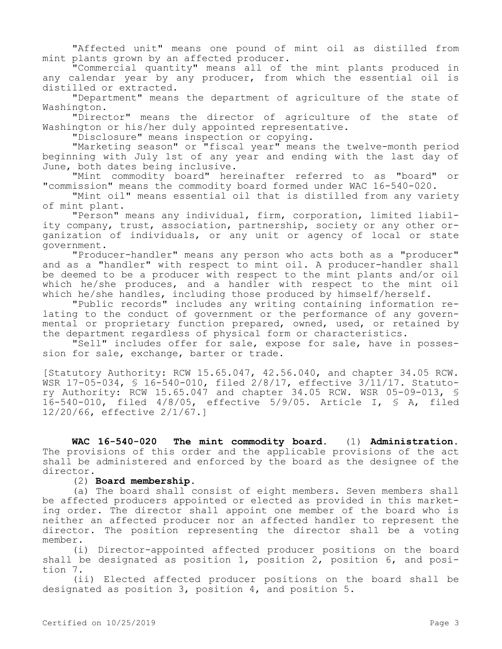"Affected unit" means one pound of mint oil as distilled from mint plants grown by an affected producer.

"Commercial quantity" means all of the mint plants produced in any calendar year by any producer, from which the essential oil is distilled or extracted.

"Department" means the department of agriculture of the state of Washington.

"Director" means the director of agriculture of the state of Washington or his/her duly appointed representative.

"Disclosure" means inspection or copying.

"Marketing season" or "fiscal year" means the twelve-month period beginning with July 1st of any year and ending with the last day of June, both dates being inclusive.

"Mint commodity board" hereinafter referred to as "board" or "commission" means the commodity board formed under WAC 16-540-020.

"Mint oil" means essential oil that is distilled from any variety of mint plant.

"Person" means any individual, firm, corporation, limited liability company, trust, association, partnership, society or any other organization of individuals, or any unit or agency of local or state government.

"Producer-handler" means any person who acts both as a "producer" and as a "handler" with respect to mint oil. A producer-handler shall be deemed to be a producer with respect to the mint plants and/or oil which he/she produces, and a handler with respect to the mint oil which he/she handles, including those produced by himself/herself.

"Public records" includes any writing containing information relating to the conduct of government or the performance of any governmental or proprietary function prepared, owned, used, or retained by the department regardless of physical form or characteristics.

"Sell" includes offer for sale, expose for sale, have in possession for sale, exchange, barter or trade.

[Statutory Authority: RCW 15.65.047, 42.56.040, and chapter 34.05 RCW. WSR 17-05-034, § 16-540-010, filed 2/8/17, effective 3/11/17. Statutory Authority: RCW 15.65.047 and chapter 34.05 RCW. WSR 05-09-013, § 16-540-010, filed 4/8/05, effective 5/9/05. Article I, § A, filed 12/20/66, effective 2/1/67.]

**WAC 16-540-020 The mint commodity board.** (1) **Administration.**  The provisions of this order and the applicable provisions of the act shall be administered and enforced by the board as the designee of the director.

## (2) **Board membership.**

(a) The board shall consist of eight members. Seven members shall be affected producers appointed or elected as provided in this marketing order. The director shall appoint one member of the board who is neither an affected producer nor an affected handler to represent the director. The position representing the director shall be a voting member.

(i) Director-appointed affected producer positions on the board shall be designated as position 1, position 2, position 6, and position 7.

(ii) Elected affected producer positions on the board shall be designated as position 3, position 4, and position 5.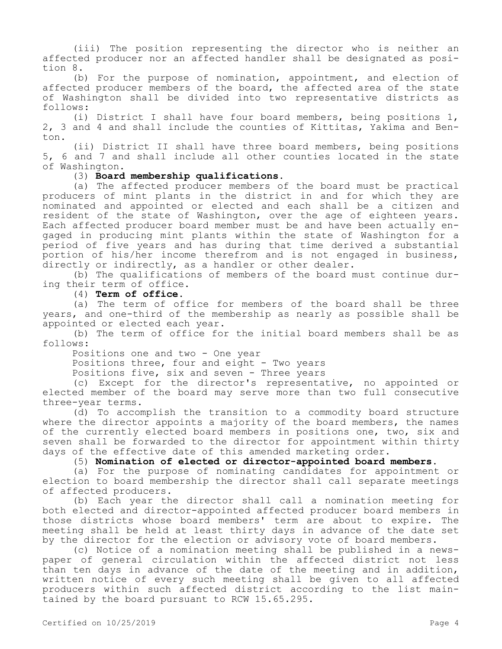(iii) The position representing the director who is neither an affected producer nor an affected handler shall be designated as position 8.

(b) For the purpose of nomination, appointment, and election of affected producer members of the board, the affected area of the state of Washington shall be divided into two representative districts as follows:

(i) District I shall have four board members, being positions 1, 2, 3 and 4 and shall include the counties of Kittitas, Yakima and Benton.

(ii) District II shall have three board members, being positions 5, 6 and 7 and shall include all other counties located in the state of Washington.

(3) **Board membership qualifications.**

(a) The affected producer members of the board must be practical producers of mint plants in the district in and for which they are nominated and appointed or elected and each shall be a citizen and resident of the state of Washington, over the age of eighteen years. Each affected producer board member must be and have been actually engaged in producing mint plants within the state of Washington for a period of five years and has during that time derived a substantial portion of his/her income therefrom and is not engaged in business, directly or indirectly, as a handler or other dealer.

(b) The qualifications of members of the board must continue during their term of office.

(4) **Term of office.**

(a) The term of office for members of the board shall be three years, and one-third of the membership as nearly as possible shall be appointed or elected each year.

(b) The term of office for the initial board members shall be as follows:

Positions one and two - One year

Positions three, four and eight - Two years

Positions five, six and seven - Three years

(c) Except for the director's representative, no appointed or elected member of the board may serve more than two full consecutive three-year terms.

(d) To accomplish the transition to a commodity board structure where the director appoints a majority of the board members, the names of the currently elected board members in positions one, two, six and seven shall be forwarded to the director for appointment within thirty days of the effective date of this amended marketing order.

(5) **Nomination of elected or director-appointed board members.**

(a) For the purpose of nominating candidates for appointment or election to board membership the director shall call separate meetings of affected producers.

(b) Each year the director shall call a nomination meeting for both elected and director-appointed affected producer board members in those districts whose board members' term are about to expire. The meeting shall be held at least thirty days in advance of the date set by the director for the election or advisory vote of board members.

(c) Notice of a nomination meeting shall be published in a newspaper of general circulation within the affected district not less than ten days in advance of the date of the meeting and in addition, written notice of every such meeting shall be given to all affected producers within such affected district according to the list maintained by the board pursuant to RCW 15.65.295.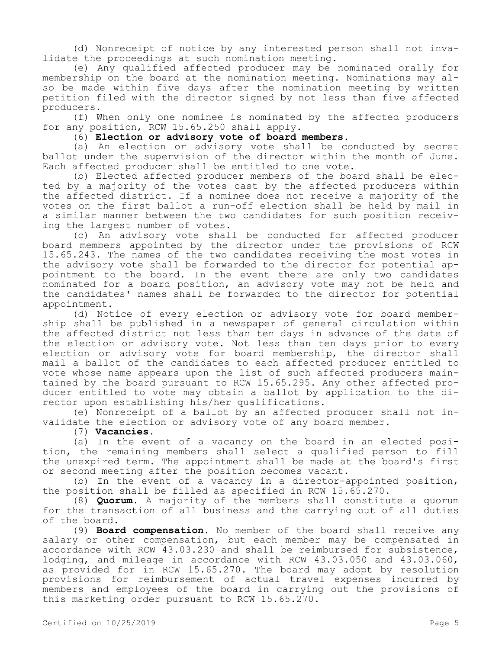(d) Nonreceipt of notice by any interested person shall not invalidate the proceedings at such nomination meeting.

(e) Any qualified affected producer may be nominated orally for membership on the board at the nomination meeting. Nominations may also be made within five days after the nomination meeting by written petition filed with the director signed by not less than five affected producers.

(f) When only one nominee is nominated by the affected producers for any position, RCW 15.65.250 shall apply.

(6) **Election or advisory vote of board members.**

(a) An election or advisory vote shall be conducted by secret ballot under the supervision of the director within the month of June. Each affected producer shall be entitled to one vote.

(b) Elected affected producer members of the board shall be elected by a majority of the votes cast by the affected producers within the affected district. If a nominee does not receive a majority of the votes on the first ballot a run-off election shall be held by mail in a similar manner between the two candidates for such position receiving the largest number of votes.

(c) An advisory vote shall be conducted for affected producer board members appointed by the director under the provisions of RCW 15.65.243. The names of the two candidates receiving the most votes in the advisory vote shall be forwarded to the director for potential appointment to the board. In the event there are only two candidates nominated for a board position, an advisory vote may not be held and the candidates' names shall be forwarded to the director for potential appointment.

(d) Notice of every election or advisory vote for board membership shall be published in a newspaper of general circulation within the affected district not less than ten days in advance of the date of the election or advisory vote. Not less than ten days prior to every election or advisory vote for board membership, the director shall mail a ballot of the candidates to each affected producer entitled to vote whose name appears upon the list of such affected producers maintained by the board pursuant to RCW 15.65.295. Any other affected producer entitled to vote may obtain a ballot by application to the director upon establishing his/her qualifications.

(e) Nonreceipt of a ballot by an affected producer shall not invalidate the election or advisory vote of any board member.

(7) **Vacancies.**

(a) In the event of a vacancy on the board in an elected position, the remaining members shall select a qualified person to fill the unexpired term. The appointment shall be made at the board's first or second meeting after the position becomes vacant.

(b) In the event of a vacancy in a director-appointed position, the position shall be filled as specified in RCW 15.65.270.

(8) **Quorum.** A majority of the members shall constitute a quorum for the transaction of all business and the carrying out of all duties of the board.

(9) **Board compensation.** No member of the board shall receive any salary or other compensation, but each member may be compensated in accordance with RCW 43.03.230 and shall be reimbursed for subsistence, lodging, and mileage in accordance with RCW 43.03.050 and 43.03.060, as provided for in RCW 15.65.270. The board may adopt by resolution provisions for reimbursement of actual travel expenses incurred by members and employees of the board in carrying out the provisions of this marketing order pursuant to RCW 15.65.270.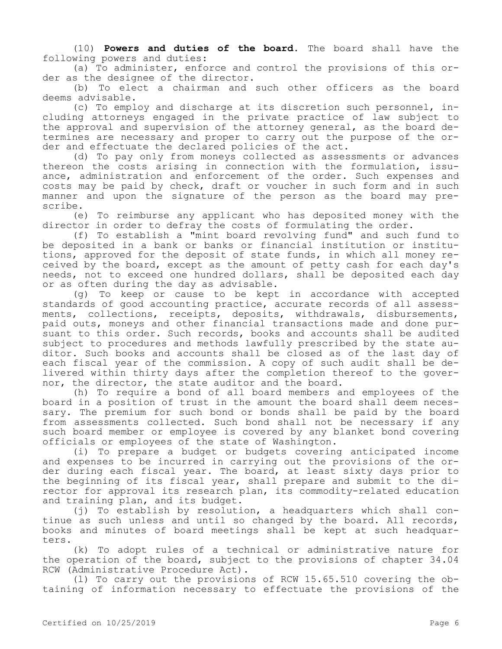(10) **Powers and duties of the board.** The board shall have the following powers and duties:

(a) To administer, enforce and control the provisions of this order as the designee of the director.

(b) To elect a chairman and such other officers as the board deems advisable.

(c) To employ and discharge at its discretion such personnel, including attorneys engaged in the private practice of law subject to the approval and supervision of the attorney general, as the board determines are necessary and proper to carry out the purpose of the order and effectuate the declared policies of the act.

(d) To pay only from moneys collected as assessments or advances thereon the costs arising in connection with the formulation, issuance, administration and enforcement of the order. Such expenses and costs may be paid by check, draft or voucher in such form and in such manner and upon the signature of the person as the board may prescribe.

(e) To reimburse any applicant who has deposited money with the director in order to defray the costs of formulating the order.

(f) To establish a "mint board revolving fund" and such fund to be deposited in a bank or banks or financial institution or institutions, approved for the deposit of state funds, in which all money received by the board, except as the amount of petty cash for each day's needs, not to exceed one hundred dollars, shall be deposited each day or as often during the day as advisable.

(g) To keep or cause to be kept in accordance with accepted standards of good accounting practice, accurate records of all assessments, collections, receipts, deposits, withdrawals, disbursements, paid outs, moneys and other financial transactions made and done pursuant to this order. Such records, books and accounts shall be audited subject to procedures and methods lawfully prescribed by the state auditor. Such books and accounts shall be closed as of the last day of each fiscal year of the commission. A copy of such audit shall be delivered within thirty days after the completion thereof to the governor, the director, the state auditor and the board.

(h) To require a bond of all board members and employees of the board in a position of trust in the amount the board shall deem necessary. The premium for such bond or bonds shall be paid by the board from assessments collected. Such bond shall not be necessary if any such board member or employee is covered by any blanket bond covering officials or employees of the state of Washington.

(i) To prepare a budget or budgets covering anticipated income and expenses to be incurred in carrying out the provisions of the order during each fiscal year. The board, at least sixty days prior to the beginning of its fiscal year, shall prepare and submit to the director for approval its research plan, its commodity-related education and training plan, and its budget.

(j) To establish by resolution, a headquarters which shall continue as such unless and until so changed by the board. All records, books and minutes of board meetings shall be kept at such headquarters.

(k) To adopt rules of a technical or administrative nature for the operation of the board, subject to the provisions of chapter 34.04 RCW (Administrative Procedure Act).

(l) To carry out the provisions of RCW 15.65.510 covering the obtaining of information necessary to effectuate the provisions of the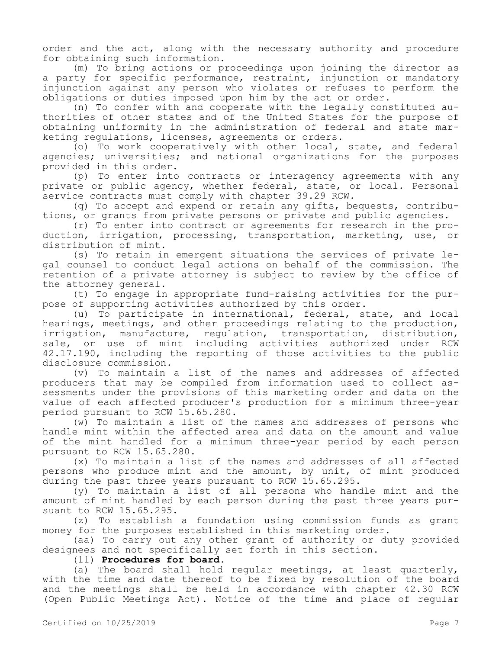order and the act, along with the necessary authority and procedure for obtaining such information.

(m) To bring actions or proceedings upon joining the director as a party for specific performance, restraint, injunction or mandatory injunction against any person who violates or refuses to perform the obligations or duties imposed upon him by the act or order.

(n) To confer with and cooperate with the legally constituted authorities of other states and of the United States for the purpose of obtaining uniformity in the administration of federal and state marketing regulations, licenses, agreements or orders.

(o) To work cooperatively with other local, state, and federal agencies; universities; and national organizations for the purposes provided in this order.

(p) To enter into contracts or interagency agreements with any private or public agency, whether federal, state, or local. Personal service contracts must comply with chapter 39.29 RCW.

(q) To accept and expend or retain any gifts, bequests, contributions, or grants from private persons or private and public agencies.

(r) To enter into contract or agreements for research in the production, irrigation, processing, transportation, marketing, use, or distribution of mint.

(s) To retain in emergent situations the services of private legal counsel to conduct legal actions on behalf of the commission. The retention of a private attorney is subject to review by the office of the attorney general.

(t) To engage in appropriate fund-raising activities for the purpose of supporting activities authorized by this order.

(u) To participate in international, federal, state, and local hearings, meetings, and other proceedings relating to the production, irrigation, manufacture, regulation, transportation, distribution, sale, or use of mint including activities authorized under RCW 42.17.190, including the reporting of those activities to the public disclosure commission.

(v) To maintain a list of the names and addresses of affected producers that may be compiled from information used to collect assessments under the provisions of this marketing order and data on the value of each affected producer's production for a minimum three-year period pursuant to RCW 15.65.280.

(w) To maintain a list of the names and addresses of persons who handle mint within the affected area and data on the amount and value of the mint handled for a minimum three-year period by each person pursuant to RCW 15.65.280.

(x) To maintain a list of the names and addresses of all affected persons who produce mint and the amount, by unit, of mint produced during the past three years pursuant to RCW 15.65.295.

(y) To maintain a list of all persons who handle mint and the amount of mint handled by each person during the past three years pursuant to RCW 15.65.295.

(z) To establish a foundation using commission funds as grant money for the purposes established in this marketing order.

(aa) To carry out any other grant of authority or duty provided designees and not specifically set forth in this section.

(11) **Procedures for board.**

(a) The board shall hold regular meetings, at least quarterly, with the time and date thereof to be fixed by resolution of the board and the meetings shall be held in accordance with chapter 42.30 RCW (Open Public Meetings Act). Notice of the time and place of regular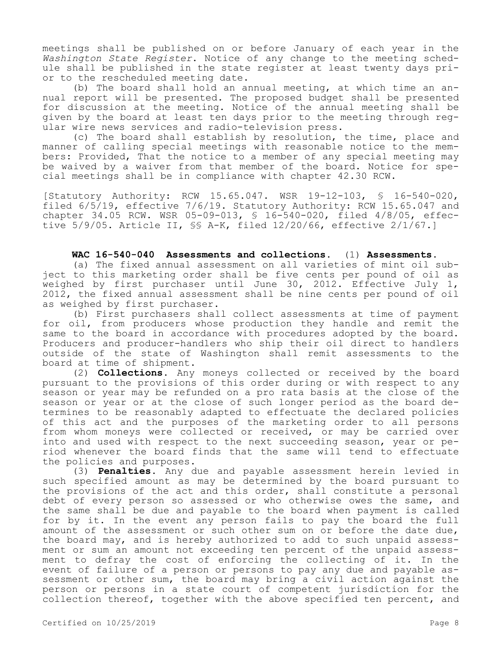meetings shall be published on or before January of each year in the *Washington State Register*. Notice of any change to the meeting schedule shall be published in the state register at least twenty days prior to the rescheduled meeting date.

(b) The board shall hold an annual meeting, at which time an annual report will be presented. The proposed budget shall be presented for discussion at the meeting. Notice of the annual meeting shall be given by the board at least ten days prior to the meeting through regular wire news services and radio-television press.

(c) The board shall establish by resolution, the time, place and manner of calling special meetings with reasonable notice to the members: Provided, That the notice to a member of any special meeting may be waived by a waiver from that member of the board. Notice for special meetings shall be in compliance with chapter 42.30 RCW.

[Statutory Authority: RCW 15.65.047. WSR 19-12-103, § 16-540-020, filed 6/5/19, effective 7/6/19. Statutory Authority: RCW 15.65.047 and chapter 34.05 RCW. WSR 05-09-013, § 16-540-020, filed 4/8/05, effective 5/9/05. Article II, §§ A-K, filed 12/20/66, effective 2/1/67.]

## **WAC 16-540-040 Assessments and collections.** (1) **Assessments.**

(a) The fixed annual assessment on all varieties of mint oil subject to this marketing order shall be five cents per pound of oil as weighed by first purchaser until June 30, 2012. Effective July 1, 2012, the fixed annual assessment shall be nine cents per pound of oil as weighed by first purchaser.

(b) First purchasers shall collect assessments at time of payment for oil, from producers whose production they handle and remit the same to the board in accordance with procedures adopted by the board. Producers and producer-handlers who ship their oil direct to handlers outside of the state of Washington shall remit assessments to the board at time of shipment.

(2) **Collections.** Any moneys collected or received by the board pursuant to the provisions of this order during or with respect to any season or year may be refunded on a pro rata basis at the close of the season or year or at the close of such longer period as the board determines to be reasonably adapted to effectuate the declared policies of this act and the purposes of the marketing order to all persons from whom moneys were collected or received, or may be carried over into and used with respect to the next succeeding season, year or period whenever the board finds that the same will tend to effectuate the policies and purposes.

(3) **Penalties.** Any due and payable assessment herein levied in such specified amount as may be determined by the board pursuant to the provisions of the act and this order, shall constitute a personal debt of every person so assessed or who otherwise owes the same, and the same shall be due and payable to the board when payment is called for by it. In the event any person fails to pay the board the full amount of the assessment or such other sum on or before the date due, the board may, and is hereby authorized to add to such unpaid assessment or sum an amount not exceeding ten percent of the unpaid assessment to defray the cost of enforcing the collecting of it. In the event of failure of a person or persons to pay any due and payable assessment or other sum, the board may bring a civil action against the person or persons in a state court of competent jurisdiction for the collection thereof, together with the above specified ten percent, and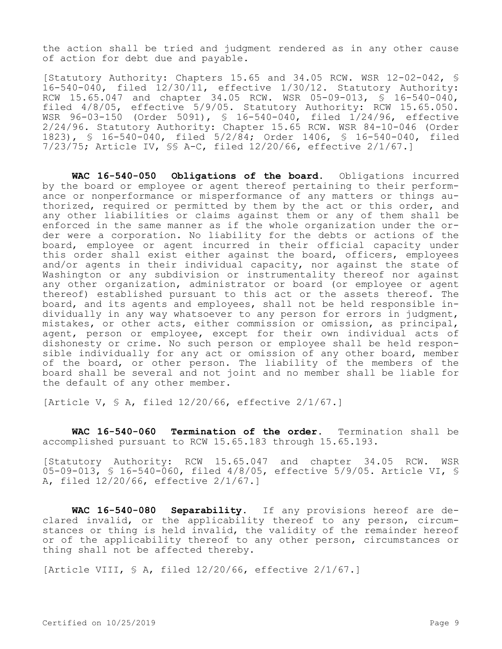the action shall be tried and judgment rendered as in any other cause of action for debt due and payable.

[Statutory Authority: Chapters 15.65 and 34.05 RCW. WSR 12-02-042, § 16-540-040, filed 12/30/11, effective 1/30/12. Statutory Authority: RCW 15.65.047 and chapter 34.05 RCW. WSR 05-09-013, § 16-540-040, filed 4/8/05, effective 5/9/05. Statutory Authority: RCW 15.65.050. WSR 96-03-150 (Order 5091), § 16-540-040, filed 1/24/96, effective 2/24/96. Statutory Authority: Chapter 15.65 RCW. WSR 84-10-046 (Order 1823), § 16-540-040, filed 5/2/84; Order 1406, § 16-540-040, filed 7/23/75; Article IV, §§ A-C, filed 12/20/66, effective 2/1/67.]

**WAC 16-540-050 Obligations of the board.** Obligations incurred by the board or employee or agent thereof pertaining to their performance or nonperformance or misperformance of any matters or things authorized, required or permitted by them by the act or this order, and any other liabilities or claims against them or any of them shall be enforced in the same manner as if the whole organization under the order were a corporation. No liability for the debts or actions of the board, employee or agent incurred in their official capacity under this order shall exist either against the board, officers, employees and/or agents in their individual capacity, nor against the state of Washington or any subdivision or instrumentality thereof nor against any other organization, administrator or board (or employee or agent thereof) established pursuant to this act or the assets thereof. The board, and its agents and employees, shall not be held responsible individually in any way whatsoever to any person for errors in judgment, mistakes, or other acts, either commission or omission, as principal, agent, person or employee, except for their own individual acts of dishonesty or crime. No such person or employee shall be held responsible individually for any act or omission of any other board, member of the board, or other person. The liability of the members of the board shall be several and not joint and no member shall be liable for the default of any other member.

[Article V, § A, filed 12/20/66, effective 2/1/67.]

**WAC 16-540-060 Termination of the order.** Termination shall be accomplished pursuant to RCW 15.65.183 through 15.65.193.

[Statutory Authority: RCW 15.65.047 and chapter 34.05 RCW. WSR 05-09-013, § 16-540-060, filed 4/8/05, effective 5/9/05. Article VI, § A, filed 12/20/66, effective 2/1/67.]

**WAC 16-540-080 Separability.** If any provisions hereof are declared invalid, or the applicability thereof to any person, circumstances or thing is held invalid, the validity of the remainder hereof or of the applicability thereof to any other person, circumstances or thing shall not be affected thereby.

[Article VIII, § A, filed 12/20/66, effective 2/1/67.]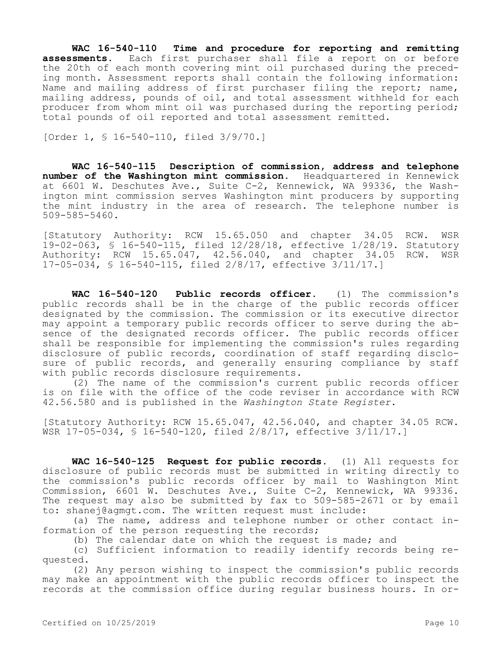**WAC 16-540-110 Time and procedure for reporting and remitting assessments.** Each first purchaser shall file a report on or before the 20th of each month covering mint oil purchased during the preceding month. Assessment reports shall contain the following information: Name and mailing address of first purchaser filing the report; name, mailing address, pounds of oil, and total assessment withheld for each producer from whom mint oil was purchased during the reporting period; total pounds of oil reported and total assessment remitted.

[Order 1, § 16-540-110, filed 3/9/70.]

**WAC 16-540-115 Description of commission, address and telephone number of the Washington mint commission.** Headquartered in Kennewick at 6601 W. Deschutes Ave., Suite C-2, Kennewick, WA 99336, the Washington mint commission serves Washington mint producers by supporting the mint industry in the area of research. The telephone number is 509-585-5460.

[Statutory Authority: RCW 15.65.050 and chapter 34.05 RCW. WSR 19-02-063, § 16-540-115, filed 12/28/18, effective 1/28/19. Statutory Authority: RCW 15.65.047, 42.56.040, and chapter 34.05 RCW. WSR 17-05-034, § 16-540-115, filed 2/8/17, effective 3/11/17.]

**WAC 16-540-120 Public records officer.** (1) The commission's public records shall be in the charge of the public records officer designated by the commission. The commission or its executive director may appoint a temporary public records officer to serve during the absence of the designated records officer. The public records officer shall be responsible for implementing the commission's rules regarding disclosure of public records, coordination of staff regarding disclosure of public records, and generally ensuring compliance by staff with public records disclosure requirements.

(2) The name of the commission's current public records officer is on file with the office of the code reviser in accordance with RCW 42.56.580 and is published in the *Washington State Register*.

[Statutory Authority: RCW 15.65.047, 42.56.040, and chapter 34.05 RCW. WSR 17-05-034, § 16-540-120, filed 2/8/17, effective 3/11/17.]

**WAC 16-540-125 Request for public records.** (1) All requests for disclosure of public records must be submitted in writing directly to the commission's public records officer by mail to Washington Mint Commission, 6601 W. Deschutes Ave., Suite C-2, Kennewick, WA 99336. The request may also be submitted by fax to 509-585-2671 or by email to: shanej@agmgt.com. The written request must include:

(a) The name, address and telephone number or other contact information of the person requesting the records;

(b) The calendar date on which the request is made; and

(c) Sufficient information to readily identify records being requested.

(2) Any person wishing to inspect the commission's public records may make an appointment with the public records officer to inspect the records at the commission office during regular business hours. In or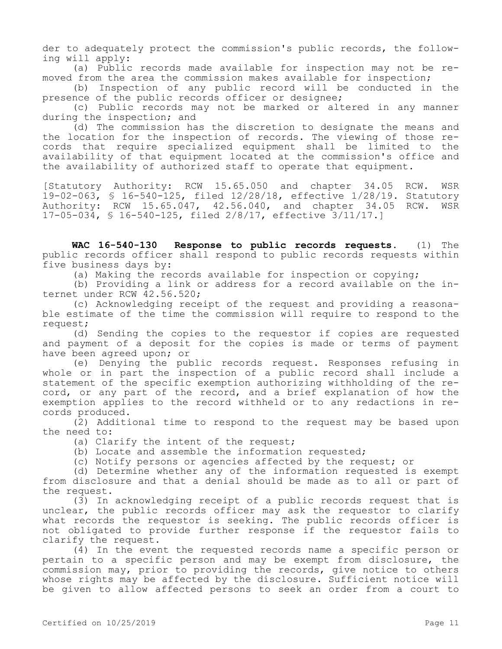der to adequately protect the commission's public records, the following will apply:

(a) Public records made available for inspection may not be removed from the area the commission makes available for inspection;

(b) Inspection of any public record will be conducted in the presence of the public records officer or designee;

(c) Public records may not be marked or altered in any manner during the inspection; and

(d) The commission has the discretion to designate the means and the location for the inspection of records. The viewing of those records that require specialized equipment shall be limited to the availability of that equipment located at the commission's office and the availability of authorized staff to operate that equipment.

[Statutory Authority: RCW 15.65.050 and chapter 34.05 RCW. WSR 19-02-063, § 16-540-125, filed 12/28/18, effective 1/28/19. Statutory Authority: RCW 15.65.047, 42.56.040, and chapter 34.05 RCW. WSR 17-05-034, § 16-540-125, filed 2/8/17, effective 3/11/17.]

**WAC 16-540-130 Response to public records requests.** (1) The public records officer shall respond to public records requests within five business days by:

(a) Making the records available for inspection or copying;

(b) Providing a link or address for a record available on the internet under RCW 42.56.520;

(c) Acknowledging receipt of the request and providing a reasonable estimate of the time the commission will require to respond to the request;

(d) Sending the copies to the requestor if copies are requested and payment of a deposit for the copies is made or terms of payment have been agreed upon; or

(e) Denying the public records request. Responses refusing in whole or in part the inspection of a public record shall include a statement of the specific exemption authorizing withholding of the record, or any part of the record, and a brief explanation of how the exemption applies to the record withheld or to any redactions in records produced.

(2) Additional time to respond to the request may be based upon the need to:

(a) Clarify the intent of the request;

(b) Locate and assemble the information requested;

(c) Notify persons or agencies affected by the request; or

(d) Determine whether any of the information requested is exempt from disclosure and that a denial should be made as to all or part of the request.

(3) In acknowledging receipt of a public records request that is unclear, the public records officer may ask the requestor to clarify what records the requestor is seeking. The public records officer is not obligated to provide further response if the requestor fails to clarify the request.

(4) In the event the requested records name a specific person or pertain to a specific person and may be exempt from disclosure, the commission may, prior to providing the records, give notice to others whose rights may be affected by the disclosure. Sufficient notice will be given to allow affected persons to seek an order from a court to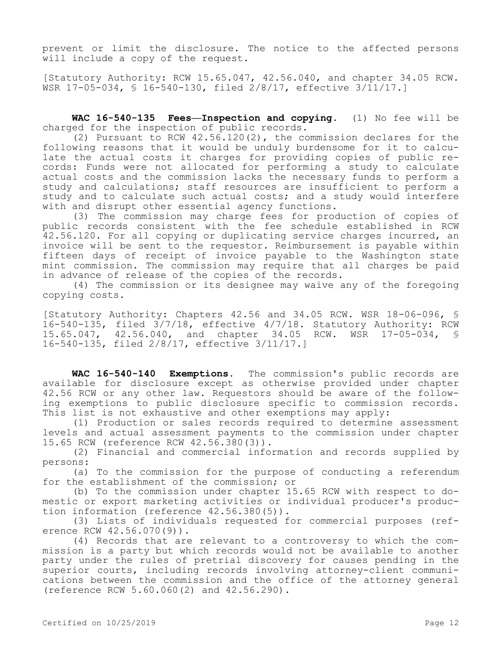prevent or limit the disclosure. The notice to the affected persons will include a copy of the request.

[Statutory Authority: RCW 15.65.047, 42.56.040, and chapter 34.05 RCW. WSR 17-05-034, § 16-540-130, filed 2/8/17, effective 3/11/17.]

**WAC 16-540-135 Fees—Inspection and copying.** (1) No fee will be charged for the inspection of public records.

(2) Pursuant to RCW 42.56.120(2), the commission declares for the following reasons that it would be unduly burdensome for it to calculate the actual costs it charges for providing copies of public records: Funds were not allocated for performing a study to calculate actual costs and the commission lacks the necessary funds to perform a study and calculations; staff resources are insufficient to perform a study and to calculate such actual costs; and a study would interfere with and disrupt other essential agency functions.

(3) The commission may charge fees for production of copies of public records consistent with the fee schedule established in RCW 42.56.120. For all copying or duplicating service charges incurred, an invoice will be sent to the requestor. Reimbursement is payable within fifteen days of receipt of invoice payable to the Washington state mint commission. The commission may require that all charges be paid in advance of release of the copies of the records.

(4) The commission or its designee may waive any of the foregoing copying costs.

[Statutory Authority: Chapters 42.56 and 34.05 RCW. WSR 18-06-096, § 16-540-135, filed 3/7/18, effective 4/7/18. Statutory Authority: RCW 15.65.047, 42.56.040, and chapter 34.05 RCW. WSR 17-05-034, § 16-540-135, filed 2/8/17, effective 3/11/17.]

**WAC 16-540-140 Exemptions.** The commission's public records are available for disclosure except as otherwise provided under chapter 42.56 RCW or any other law. Requestors should be aware of the following exemptions to public disclosure specific to commission records. This list is not exhaustive and other exemptions may apply:

(1) Production or sales records required to determine assessment levels and actual assessment payments to the commission under chapter 15.65 RCW (reference RCW 42.56.380(3)).

(2) Financial and commercial information and records supplied by persons:

(a) To the commission for the purpose of conducting a referendum for the establishment of the commission; or

(b) To the commission under chapter 15.65 RCW with respect to domestic or export marketing activities or individual producer's production information (reference 42.56.380(5)).

(3) Lists of individuals requested for commercial purposes (reference RCW 42.56.070(9)).

(4) Records that are relevant to a controversy to which the commission is a party but which records would not be available to another party under the rules of pretrial discovery for causes pending in the superior courts, including records involving attorney-client communications between the commission and the office of the attorney general (reference RCW 5.60.060(2) and 42.56.290).